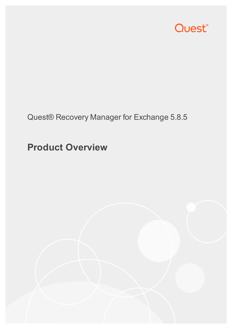

## Quest® Recovery Manager for Exchange 5.8.5

## **Product Overview**

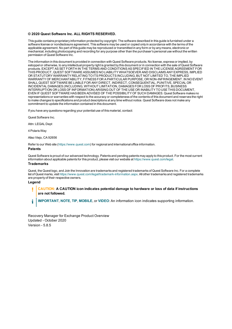#### **© 2020 Quest Software Inc. ALL RIGHTS RESERVED.**

This guide contains proprietary information protected by copyright. The software described in this guide is furnished under a software license or nondisclosure agreement. This software may be used or copied only in accordance with the terms of the applicable agreement. No part of this guide may be reproduced or transmitted in any form or by any means, electronic or mechanical, including photocopying and recording for any purpose other than the purchaser's personal use without the written permission of Quest Software Inc.

The information in this document is provided in connection with Quest Software products. No license, express or implied, by estoppel or otherwise, to any intellectual property right is granted by this document or in connection with the sale of Quest Software products. EXCEPT AS SET FORTH IN THE TERMS AND CONDITIONS AS SPECIFIED IN THE LICENSE AGREEMENT FOR THIS PRODUCT, QUEST SOFTWARE ASSUMES NO LIABILITY WHATSOEVER AND DISCLAIMS ANY EXPRESS, IMPLIED OR STATUTORY WARRANTY RELATING TO ITS PRODUCTS INCLUDING, BUT NOT LIMITED TO, THE IMPLIED WARRANTY OF MERCHANTABILITY, FITNESS FOR A PARTICULAR PURPOSE, OR NON-INFRINGEMENT. IN NO EVENT SHALL QUEST SOFTWARE BE LIABLE FOR ANY DIRECT, INDIRECT, CONSEQUENTIAL, PUNITIVE, SPECIAL OR INCIDENTAL DAMAGES (INCLUDING, WITHOUT LIMITATION, DAMAGES FOR LOSS OF PROFITS, BUSINESS INTERRUPTION OR LOSS OF INFORMATION) ARISING OUT OF THE USE OR INABILITY TO USE THIS DOCUMENT, EVEN IF QUEST SOFTWARE HAS BEEN ADVISED OF THE POSSIBILITY OF SUCH DAMAGES. Quest Software makes no representations or warranties with respect to the accuracy or completeness of the contents of this document and reserves the right to make changes to specifications and product descriptions at any time without notice. Quest Software does not make any commitment to update the information contained in this document.

If you have any questions regarding your potential use of this material, contact:

Quest Software Inc.

Attn: LEGAL Dept

4 PolarisWay

Aliso Viejo, CA 92656

Refer to our Web site ([https://www.quest.com](https://www.quest.com/)) for regional and international office information.

#### **Patents**

Quest Software is proud of our advanced technology. Patents and pending patents may apply to this product. For the most current information about applicable patents for this product, please visit our website at <https://www.quest.com/legal>.

#### **Trademarks**

Quest, the Quest logo, and Join the Innovation are trademarks and registered trademarks of Quest Software Inc. For a complete list of Quest marks, visit <https://www.quest.com/legal/trademark-information.aspx>. All other trademarks and registered trademarks are property of their respective owners.

#### **Legend**

- L **CAUTION: A CAUTION icon indicates potential damage to hardware or loss of data if instructions are not followed.**
- **IMPORTANT**, **NOTE**, **TIP**, **MOBILE**, or **VIDEO**: An information icon indicates supporting information. i

Recovery Manager for Exchange Product Overview Updated - October 2020 Version - 5.8.5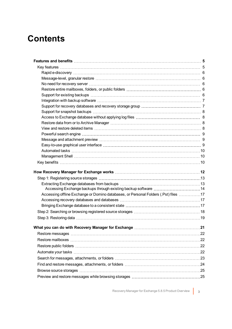### **Contents**

| Accessing Exchange backups through existing backup software 14                      |  |
|-------------------------------------------------------------------------------------|--|
| Accessing offline Exchange or Domino databases, or Personal Folders (.Pst) files 17 |  |
|                                                                                     |  |
|                                                                                     |  |
|                                                                                     |  |
|                                                                                     |  |
|                                                                                     |  |
|                                                                                     |  |
|                                                                                     |  |
|                                                                                     |  |
|                                                                                     |  |
|                                                                                     |  |
|                                                                                     |  |
|                                                                                     |  |
|                                                                                     |  |
|                                                                                     |  |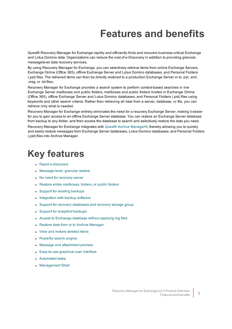# **Features and benefits**

<span id="page-4-0"></span>Quest® Recovery Manager for Exchange rapidly and efficiently finds and recovers business-critical Exchange and Lotus Domino data. Organizations can reduce the cost of e-Discovery in addition to providing granular, messagelevel data recovery services.

By using Recovery Manager for Exchange, you can selectively retrieve items from online Exchange Servers, Exchange Online (Office 365), offline Exchange Server and Lotus Domino databases, and Personal Folders (.pst) files. The retrieved items can then be directly restored to a production Exchange Server or to .pst, .eml, .msg, or .txt files.

Recovery Manager for Exchange provides a search system to perform context-based searches in live Exchange Server mailboxes and public folders, mailboxes and public folders hosted in Exchange Online (Office 365), offline Exchange Server and Lotus Domino databases, and Personal Folders (.pst) files using keywords and other search criteria. Rather than retrieving all data from a server, database, or file, you can retrieve only what is needed.

Recovery Manager for Exchange entirely eliminates the need for a recovery Exchange Server, making it easier for you to gain access to an offline Exchange Server database. You can restore an Exchange Server database from backup to any folder, and then access the database to search and selectively restore the data you need.

Recovery Manager for Exchange integrates with Quest® Archive [Manager®,](https://www.quest.com/products/archive-manager/) thereby allowing you to quickly and easily restore messages from Exchange Server databases, Lotus Domino databases, and Personal Folders (.pst) files into Archive Manager.

## <span id="page-4-1"></span>**Key features**

- Rapid [e-discovery](#page-5-0)
- [Message-level,](#page-5-1) granular restore
- No need for [recovery](#page-5-2) server
- Restore entire [mailboxes,](#page-5-3) folders, or public folders
- Support for existing [backups](#page-5-4)
- [Integration](#page-6-0) with backup software
- Support for recovery [databases](#page-6-1) and recovery storage group
- Support for [snapshot](#page-7-0) backups
- Access to [Exchange](#page-7-1) database without applying log files
- Restore data from or to Archive [Manager](#page-7-2)
- View and restore [deleted](#page-7-3) items
- [Powerful](#page-8-0) search engine
- Message and [attachment](#page-8-1) preview
- [Easy-to-use](#page-8-2) graphical user interface
- [Automated](#page-9-0) tasks
- [Management](#page-9-1) Shell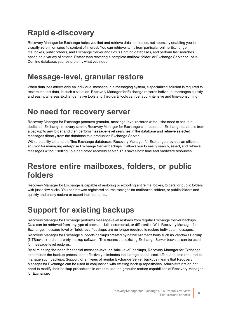### <span id="page-5-0"></span>**Rapid e-discovery**

Recovery Manager for Exchange helps you find and retrieve data in minutes, not hours, by enabling you to visually zero in on specific content of interest. You can retrieve items from particular online Exchange mailboxes, public folders, and Exchange Server and Lotus Domino databases, and perform fast searches based on a variety of criteria. Rather than restoring a complete mailbox, folder, or Exchange Server or Lotus Domino database, you restore only what you need.

### <span id="page-5-1"></span>**Message-level, granular restore**

When data loss affects only an individual message in a messaging system, a specialized solution is required to restore the lost data. In such a situation, Recovery Manager for Exchange restores individual messages quickly and easily, whereas Exchange native tools and third-party tools can be labor-intensive and time-consuming.

#### <span id="page-5-2"></span>**No need for recovery server**

Recovery Manager for Exchange performs granular, message-level restores without the need to set up a dedicated Exchange recovery server. Recovery Manager for Exchange can restore an Exchange database from a backup to any folder and then perform message-level searches in the database and retrieve selected messages directly from the database to a production Exchange Server.

With the ability to handle offline Exchange databases, Recovery Manager for Exchange provides an efficient solution for managing enterprise Exchange Server backups. It allows you to easily search, select, and retrieve messages without setting up a dedicated recovery server. This saves both time and hardware resources.

#### <span id="page-5-3"></span>**Restore entire mailboxes, folders, or public folders**

Recovery Manager for Exchange is capable of restoring or exporting entire mailboxes, folders, or public folders with just a few clicks. You can browse registered source storages for mailboxes, folders, or public folders and quickly and easily restore or export their contents..

### <span id="page-5-4"></span>**Support for existing backups**

Recovery Manager for Exchange performs message-level restores from regular Exchange Server backups. Data can be retrieved from any type of backup—full, incremental, or differential. With Recovery Manager for Exchange, message-level or "brick-level" backups are no longer required to restore individual messages.

Recovery Manager for Exchange supports backups created by native Microsoft tools such as Windows Backup (NTBackup) and third-party backup software. This means that existing Exchange Server backups can be used for message-level restores.

By eliminating the need for special message-level or "brick-level" backups, Recovery Manager for Exchange streamlines the backup process and effectively eliminates the storage space, cost, effort, and time required to manage such backups. Support for all types of regular Exchange Server backups means that Recovery Manager for Exchange can be used in conjunction with existing backup repositories. Administrators do not need to modify their backup procedures in order to use the granular restore capabilities of Recovery Manager for Exchange.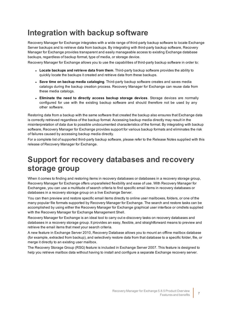### <span id="page-6-0"></span>**Integration with backup software**

Recovery Manager for Exchange integrates with a wide range of third-party backup software to locate Exchange Server backups and to retrieve data from backups. By integrating with third-party backup software, Recovery Manager for Exchange provides transparent and easily manageable access to existing Exchange database backups, regardless of backup format, type of media, or storage device.

Recovery Manager for Exchange allows you to use the capabilities of third-party backup software in order to:

- <sup>l</sup> **Locate backups and retrieve data from them**. Third-party backup software provides the ability to quickly locate the backups it created and retrieve data from these backups.
- <sup>l</sup> **Save time on backup media cataloging**. Third-party backup software creates and saves media catalogs during the backup creation process. Recovery Manager for Exchange can reuse data from these media catalogs.
- <sup>l</sup> **Eliminate the need to directly access backup storage devices**. Storage devices are normally configured for use with the existing backup software and should therefore not be used by any other software.

Restoring data from a backup with the same software that created the backup also ensures that Exchange data is correctly retrieved regardless of the backup format. Accessing backup media directly may result in the misinterpretation of data due to possible undocumented characteristics of the format. By integrating with backup software, Recovery Manager for Exchange provides support for various backup formats and eliminates the risk of failures caused by accessing backup media directly.

For a complete list of supported third-party backup software, please refer to the Release Notes supplied with this release of Recovery Manager for Exchange.

#### <span id="page-6-1"></span>**Support for recovery databases and recovery storage group**

When it comes to finding and restoring items in recovery databases or databases in a recovery storage group, Recovery Manager for Exchange offers unparalleled flexibility and ease of use. With Recovery Manager for Exchangee, you can use a multitude of search criteria to find specific email items in recovery databases or databases in a recovery storage group on a live Exchange Server.

You can then preview and restore specific email items directly to online user mailboxes, folders, or one of the many popular file formats supported by Recovery Manager for Exchange. The search and restore tasks can be accomplished by using either the Recovery Manager for Exchange graphical user interface or cmdlets supplied with the Recovery Manager for Exchange Management Shell.

Recovery Manager for Exchange is an ideal tool to carry out e-discovery tasks on recovery databases and databases in a recovery storage group. It provides an easy, flexible, and straightforward means to preview and retrieve the email items that meet your search criteria.

A new feature in Exchange Server 2010, Recovery Database allows you to mount an offline mailbox database (for example, extracted from backup), and selectively restore data from that database to a specific folder, file, or merge it directly to an existing user mailbox.

The Recovery Storage Group (RSG) feature is included in Exchange Server 2007. This feature is designed to help you retrieve mailbox data without having to install and configure a separate Exchange recovery server.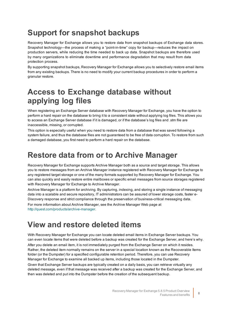### <span id="page-7-0"></span>**Support for snapshot backups**

Recovery Manager for Exchange allows you to restore data from snapshot backups of Exchange data stores. Snapshot technology—the process of making a "point-in-time" copy for backup—reduces the impact on production servers, while reducing the time needed to back up data. Snapshot backups are therefore used by many organizations to eliminate downtime and performance degradation that may result from data protection process.

By supporting snapshot backups, Recovery Manager for Exchange allows you to selectively restore email items from any existing backups. There is no need to modify your current backup procedures in order to perform a granular restore.

#### <span id="page-7-1"></span>**Access to Exchange database without applying log files**

When registering an Exchange Server database with Recovery Manager for Exchange, you have the option to perform a hard repair on the database to bring it to a consistent state without applying log files. This allows you to access an Exchange Server database if it is damaged, or if the database's log files and .stm file are inaccessible, missing, or corrupted.

This option is especially useful when you need to restore data from a database that was saved following a system failure, and thus the database files are not guaranteed to be free of data corruption. To restore from such a damaged database, you first need to perform a hard repair on the database.

#### <span id="page-7-2"></span>**Restore data from or to Archive Manager**

Recovery Manager for Exchange supports Archive Manager both as a source and target storage. This allows you to restore messages from an Archive Manager instance registered with Recovery Manager for Exchange to any registered target storage or one of the many formats supported by Recovery Manager for Exchange. You can also quickly and easily restore entire mailboxes or specific email messages from source storages registered with Recovery Manager for Exchange to Archive Manager.

Archive Manager is a platform for archiving. By capturing, indexing, and storing a single instance of messaging data into a scalable and secure repository, IT administrators can be assured of lower storage costs, faster e-Discovery response and strict compliance through the preservation of business-critical messaging data.

For more information about Archive Manager, see the Archive Manager Web page at <http://quest.com/products/archive-manager>.

#### <span id="page-7-3"></span>**View and restore deleted items**

With Recovery Manager for Exchange you can locate deleted email items in Exchange Server backups. You can even locate items that were deleted before a backup was created for the Exchange Server, and here's why. After you delete an email item, it is not immediately purged from the Exchange Server on which it resides. Rather, the deleted item normally remains on the server in a special location known as the Recoverable Items folder (or the Dumpster) for a specified configurable retention period. Therefore, you can use Recovery Manager for Exchange to examine all backed up items, including those located in the Dumpster. Given that Exchange Server backups are typically created on a daily basis, you can retrieve virtually any deleted message, even if that message was received after a backup was created for the Exchange Server, and then was deleted and put into the Dumpster before the creation of the subsequent backup.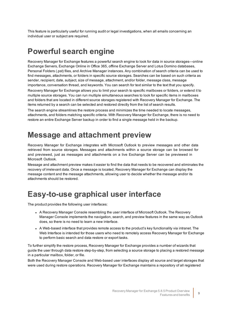This feature is particularly useful for running audit or legal investigations, when all emails concerning an individual user or subject are required.

#### <span id="page-8-0"></span>**Powerful search engine**

Recovery Manager for Exchange features a powerful search engine to look for data in source storages—online Exchange Servers, Exchange Online in Office 365, offline Exchange Server and Lotus Domino databases, Personal Folders (.pst) files, and Archive Manager instances. Any combination of search criteria can be used to find messages, attachments, or folders in specific source storages. Searches can be based on such criteria as sender, recipient, date, subject, size of message, attachment, and/or folder, message class, message importance, conversation thread, and keywords. You can search for text similar to the text that you specify.

Recovery Manager for Exchange allows you to limit your search to specific mailboxes or folders, or extend it to multiple source storages. You can run multiple simultaneous searches to look for specific items in mailboxes and folders that are located in different source storages registered with Recovery Manager for Exchange. The items returned by a search can be selected and restored directly from the list of search results.

The search engine streamlines the restore process and minimizes the time needed to locate messages, attachments, and folders matching specific criteria. With Recovery Manager for Exchange, there is no need to restore an entire Exchange Server backup in order to find a single message held in the backup.

#### <span id="page-8-1"></span>**Message and attachment preview**

Recovery Manager for Exchange integrates with Microsoft Outlook to preview messages and other data retrieved from source storages. Messages and attachments within a source storage can be browsed for and previewed, just as messages and attachments on a live Exchange Server can be previewed in Microsoft Outlook.

Message and attachment preview makes it easier to find the data that needs to be recovered and eliminates the recovery of irrelevant data. Once a message is located, Recovery Manager for Exchange can display the message content and the message attachments, allowing user to decide whether the message and/or its attachments should be restored.

#### <span id="page-8-2"></span>**Easy-to-use graphical user interface**

The product provides the following user interfaces:

- A Recovery Manager Console resembling the user interface of Microsoft Outlook. The Recovery Manager Console implements the navigation, search, and preview features in the same way as Outlook does, so there is no need to learn a new interface.
- A Web-based interface that provides remote access to the product's key functionality via intranet. The Web Interface is intended for those users who need to remotely access Recovery Manager for Exchange to perform basic search and data restore or export tasks.

To further simplify the restore process, Recovery Manager for Exchange provides a number of wizards that guide the user through data restore step-by-step, from selecting a source storage to placing a restored message in a particular mailbox, folder, or file.

Both the Recovery Manager Console and Web-based user interfaces display all source and target storages that were used during restore operations. Recovery Manager for Exchange maintains a repository of all registered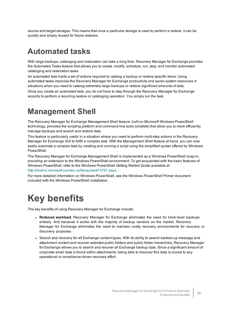source and target storages. This means that once a particular storage is used to perform a restore, it can be quickly and simply reused for future restores.

#### <span id="page-9-0"></span>**Automated tasks**

With large backups, cataloging and restoration can take a long time. Recovery Manager for Exchange provides the Automated Tasks feature that allows you to create, modify, schedule, run, stop, and monitor automated cataloging and restoration tasks.

An automated task holds a set of actions required to catalog a backup or restore specific items. Using automated tasks improves the Recovery Manager for Exchange productivity and saves system resources in situations when you need to catalog extremely large backups or restore significant amounts of data.

Once you create an automated task, you do not have to step through the Recovery Manager for Exchange wizards to perform a recurring restore or cataloging operation. You simply run the task.

### <span id="page-9-1"></span>**Management Shell**

The Recovery Manager for Exchange Management Shell feature, built on Microsoft Windows PowerShell technology, provides the scripting platform and command-line tools (cmdlets) that allow you to more efficiently manage backups and search and restore data.

This feature is particularly useful in a situation where you need to perform multi-step actions in the Recovery Manager for Exchange GUI to fulfill a complex task. With the Management Shell feature at hand, you can now easily automate a complex task by creating and running a script using the simplified syntax offered by Windows PowerShell.

The Recovery Manager for Exchange Management Shell is implemented as a Windows PowerShell snap-in, providing an extension to the Windows PowerShell environment. To get acquainted with the basic features of Windows PowerShell, refer to the Windows PowerShell Getting Started Guide available at http://msdn2.microsoft.com/en-us/library/aa973757.aspx.

<span id="page-9-2"></span>For more detailed information on Windows PowerShell, see the Windows PowerShell Primer document included with the Windows PowerShell installation.

## **Key benefits**

The key benefits of using Recovery Manager for Exchange include:

- <sup>l</sup> **Reduced workload**. Recovery Manager for Exchange eliminates the need for brick-level backups entirely. And because it works with the majority of backup vendors on the market, Recovery Manager for Exchange eliminates the need to maintain costly recovery environments for recovery or discovery purposes.
- Search and recovery for all Exchange content types. With its ability to search backed-up message and attachment content and recover selected public folders and public folder hierarchies, Recovery Manager for Exchange allows you to search and recover all Exchange backup data. Since a significant amount of corporate email data is found within attachments, being able to discover this data is crucial to any operational or compliance-driven recovery effort.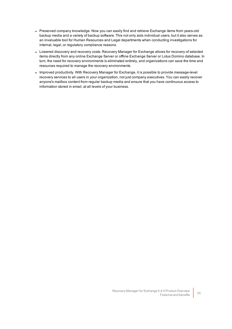- Preserved company knowledge. Now you can easily find and retrieve Exchange items from years-old backup media and a variety of backup software. This not only aids individual users, but it also serves as an invaluable tool for Human Resources and Legal departments when conducting investigations for internal, legal, or regulatory compliance reasons.
- Lowered discovery and recovery costs. Recovery Manager for Exchange allows for recovery of selected items directly from any online Exchange Server or offline Exchange Server or Lotus Domino database. In turn, the need for recovery environments is eliminated entirely, and organizations can save the time and resources required to manage the recovery environments.
- Improved productivity. With Recovery Manager for Exchange, it is possible to provide message-level recovery services to all users in your organization, not just company executives. You can easily recover anyone's mailbox content from regular backup media and ensure that you have continuous access to information stored in email, at all levels of your business.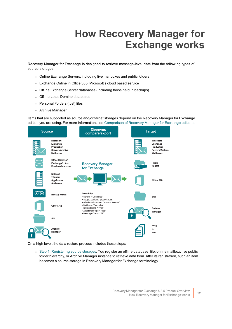# **How Recovery Manager for Exchange works**

<span id="page-11-0"></span>Recovery Manager for Exchange is designed to retrieve message-level data from the following types of source storages:

- Online Exchange Servers, including live mailboxes and public folders
- Exchange Online in Office 365, Microsoft's cloud based service
- Offline Exchange Server databases (including those held in backups)
- Offline Lotus Domino databases
- Personal Folders (.pst) files
- Archive Manager

Items that are supported as source and/or target storages depend on the Recovery Manager for Exchange edition you are using. For more information, see [Comparison](#page-26-0) of Recovery Manager for Exchange editions.



On a high level, the data restore process includes these steps:

• Step 1: [Registering](#page-12-0) source storages. You register an offline database, file, online mailbox, live public folder hierarchy, or Archive Manager instance to retrieve data from. After its registration, such an item becomes a source storage in Recovery Manager for Exchange terminology.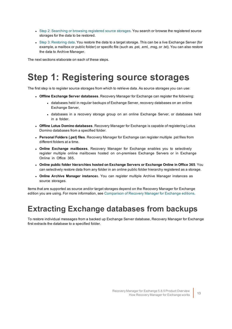- Step 2: [Searching](#page-17-0) or browsing registered source storages. You search or browse the registered source storages for the data to be restored.
- Step 3: [Restoring](#page-18-0) data. You restore the data to a target storage. This can be a live Exchange Server (for example, a mailbox or public folder) or specific file (such as .pst, .eml, .msg, or .txt). You can also restore the data to Archive Manager.

<span id="page-12-0"></span>The next sections elaborate on each of these steps.

## **Step 1: Registering source storages**

The first step is to register source storages from which to retrieve data. As source storages you can use:

- <sup>l</sup> **Offline Exchange Server databases**. Recovery Manager for Exchange can register the following:
	- databases held in regular backups of Exchange Server, recovery databases on an online Exchange Server,
	- databases in a recovery storage group on an online Exchange Server, or databases held in a folder.
- <sup>l</sup> **Offline Lotus Domino databases**. Recovery Manager for Exchange is capable of registering Lotus Domino databases from a specified folder.
- <sup>l</sup> **Personal Folders (.pst) files**. Recovery Manager for Exchange can register multiple .pst files from different folders at a time.
- <sup>l</sup> **Online Exchange mailboxes**. Recovery Manager for Exchange enables you to selectively register multiple online mailboxes hosted on on-premises Exchange Servers or in Exchange Online in Office 365.
- <sup>l</sup> **Online public folder hierarchies hosted on Exchange Servers or Exchange Online in Office 365**. You can selectively restore data from any folder in an online public folder hierarchy registered as a storage.
- <sup>l</sup> **Online Archive Manager instance**s. You can register multiple Archive Manager instances as source storages.

Items that are supported as source and/or target storages depend on the Recovery Manager for Exchange edition you are using. For more information, see [Comparison](#page-26-0) of Recovery Manager for Exchange editions.

#### <span id="page-12-1"></span>**Extracting Exchange databases from backups**

To restore individual messages from a backed up Exchange Server database, Recovery Manager for Exchange first extracts the database to a specified folder.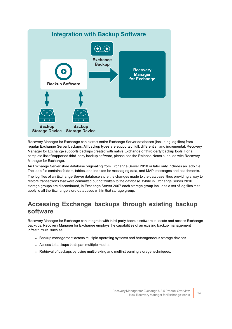

Recovery Manager for Exchange can extract entire Exchange Server databases (including log files) from regular Exchange Server backups. All backup types are supported: full, differential, and incremental. Recovery Manager for Exchange supports backups created with native Exchange or third-party backup tools. For a complete list of supported third-party backup software, please see the Release Notes supplied with Recovery Manager for Exchange.

An Exchange Server store database originating from Exchange Server 2010 or later only includes an .edb file. The .edb file contains folders, tables, and indexes for messaging data, and MAPI messages and attachments.

The log files of an Exchange Server database store the changes made to the database, thus providing a way to restore transactions that were committed but not written to the database. While in Exchange Server 2010 storage groups are discontinued, in Exchange Server 2007 each storage group includes a set of log files that apply to all the Exchange store databases within that storage group.

#### <span id="page-13-0"></span>**Accessing Exchange backups through existing backup software**

Recovery Manager for Exchange can integrate with third-party backup software to locate and access Exchange backups. Recovery Manager for Exchange employs the capabilities of an existing backup management infrastructure, such as:

- Backup management across multiple operating systems and heterogeneous storage devices.
- Access to backups that span multiple media.
- Retrieval of backups by using multiplexing and multi-streaming storage techniques.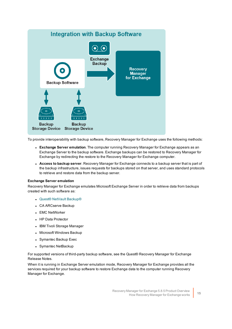

To provide interoperability with backup software, Recovery Manager for Exchange uses the following methods:

- **Exchange Server emulation**. The computer running Recovery Manager for Exchange appears as an Exchange Server to the backup software. Exchange backups can be restored to Recovery Manager for Exchange by redirecting the restore to the Recovery Manager for Exchange computer.
- **Access to backup server**. Recovery Manager for Exchange connects to a backup server that is part of the backup infrastructure, issues requests for backups stored on that server, and uses standard protocols to retrieve and restore data from the backup server.

#### **Exchange Server emulation**

Recovery Manager for Exchange emulates Microsoft Exchange Server in order to retrieve data from backups created with such software as:

- **.** Quest® NetVault Backup®
- CA ARCserve Backup
- EMC NetWorker
- HP Data Protector
- IBM Tivoli Storage Manager
- Microsoft Windows Backup
- Symantec Backup Exec
- Symantec NetBackup

For supported versions of third-party backup software, see the Quest® Recovery Manager for Exchange Release Notes.

When it is running in Exchange Server emulation mode, Recovery Manager for Exchange provides all the services required for your backup software to restore Exchange data to the computer running Recovery Manager for Exchange.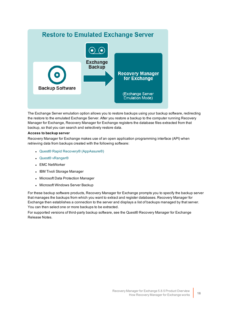#### **Restore to Emulated Exchange Server**



The Exchange Server emulation option allows you to restore backups using your backup software, redirecting the restore to the emulated Exchange Server. After you restore a backup to the computer running Recovery Manager for Exchange, Recovery Manager for Exchange registers the database files extracted from that backup, so that you can search and selectively restore data.

#### **Access to backup server**

Recovery Manager for Exchange makes use of an open application programming interface (API) when retrieving data from backups created with the following software:

- Quest® Rapid Recovery® [\(AppAssure®\)](https://www.quest.com/products/rapid-recovery/)
- **.** Quest® [vRanger®](https://www.quest.com/products/vranger/)
- EMC NetWorker
- IBM Tivoli Storage Manager
- Microsoft Data Protection Manager
- Microsoft Windows Server Backup

For these backup software products, Recovery Manager for Exchange prompts you to specify the backup server that manages the backups from which you want to extract and register databases. Recovery Manager for Exchange then establishes a connection to the server and displays a list of backups managed by that server. You can then select one or more backups to be extracted.

For supported versions of third-party backup software, see the Quest® Recovery Manager for Exchange Release Notes.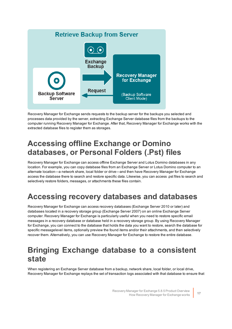

Recovery Manager for Exchange sends requests to the backup server for the backups you selected and processes data provided by the server, extracting Exchange Server database files from the backups to the computer running Recovery Manager for Exchange. After that, Recovery Manager for Exchange works with the extracted database files to register them as storages.

### <span id="page-16-0"></span>**Accessing offline Exchange or Domino databases, or Personal Folders (.Pst) files**

Recovery Manager for Exchange can access offline Exchange Server and Lotus Domino databases in any location. For example, you can copy database files from an Exchange Server or Lotus Domino computer to an alternate location—a network share, local folder or drive—and then have Recovery Manager for Exchange access the database there to search and restore specific data. Likewise, you can access .pst files to search and selectively restore folders, messages, or attachments these files contain.

### <span id="page-16-1"></span>**Accessing recovery databases and databases**

Recovery Manager for Exchange can access recovery databases (Exchange Server 2010 or later) and databases located in a recovery storage group (Exchange Server 2007) on an online Exchange Server computer. Recovery Manager for Exchange is particularly useful when you need to restore specific email messages in a recovery database or database held in a recovery storage group. By using Recovery Manager for Exchange, you can connect to the database that holds the data you want to restore, search the database for specific messagelevel items, optionally preview the found items and/or their attachments, and then selectively recover them. Alternatively, you can use Recovery Manager for Exchange to restore the entire database.

#### <span id="page-16-2"></span>**Bringing Exchange database to a consistent state**

When registering an Exchange Server database from a backup, network share, local folder, or local drive, Recovery Manager for Exchange replays the set of transaction logs associated with that database to ensure that

> Recovery Manager for Exchange 5.8.5 Product Overview How Recovery Manager for Exchange works **<sup>17</sup>**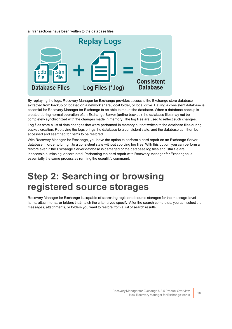all transactions have been written to the database files:



By replaying the logs, Recovery Manager for Exchange provides access to the Exchange store database extracted from backup or located on a network share, local folder, or local drive. Having a consistent database is essential for Recovery Manager for Exchange to be able to mount the database. When a database backup is created during normal operation of an Exchange Server (online backup), the database files may not be completely synchronized with the changes made in memory. The log files are used to reflect such changes.

Log files store a list of data changes that were performed in memory but not written to the database files during backup creation. Replaying the logs brings the database to a consistent state, and the database can then be accessed and searched for items to be restored.

With Recovery Manager for Exchange, you have the option to perform a hard repair on an Exchange Server database in order to bring it to a consistent state without applying log files. With this option, you can perform a restore even if the Exchange Server database is damaged or the database log files and .stm file are inaccessible, missing, or corrupted. Performing the hard repair with Recovery Manager for Exchangee is essentially the same process as running the eseutil /p command.

## <span id="page-17-0"></span>**Step 2: Searching or browsing registered source storages**

Recovery Manager for Exchange is capable of searching registered source storages for the message-level items, attachments, or folders that match the criteria you specify. After the search completes, you can select the messages, attachments, or folders you want to restore from a list of search results.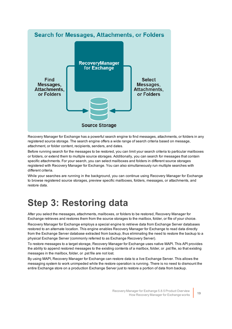

Recovery Manager for Exchange has a powerful search engine to find messages, attachments, or folders in any registered source storage. The search engine offers a wide range of search criteria based on message, attachment, or folder content, recipients, senders, and dates.

Before running search for the messages to be restored, you can limit your search criteria to particular mailboxes or folders, or extend them to multiple source storages. Additionally, you can search for messages that contain specific attachments. For your search, you can select mailboxes and folders in different source storages registered with Recovery Manager for Exchange. You can also simultaneously run multiple searches with different criteria.

While your searches are running in the background, you can continue using Recovery Manager for Exchange to browse registered source storages, preview specific mailboxes, folders, messages, or attachments, and restore data.

## <span id="page-18-0"></span>**Step 3: Restoring data**

After you select the messages, attachments, mailboxes, or folders to be restored, Recovery Manager for Exchange retrieves and restores them from the source storages to the mailbox, folder, or file of your choice.

Recovery Manager for Exchange employs a special engine to retrieve data from Exchange Server databases restored to an alternate location. This engine enables Recovery Manager for Exchange to read data directly from the Exchange Server database extracted from backup, thus eliminating the need to restore the backup to a physical Exchange Server (commonly referred to as Exchange Recovery Server).

To restore messages to a target storage, Recovery Manager for Exchange uses native MAPI. This API provides the ability to append restored messages to the existing contents of a mailbox, folder, or .pst file, so that existing messages in the mailbox, folder, or .pst file are not lost.

By using MAPI, Recovery Manager for Exchange can restore data to a live Exchange Server. This allows the messaging system to work unimpeded while the restore operation is running. There is no need to dismount the entire Exchange store on a production Exchange Server just to restore a portion of data from backup.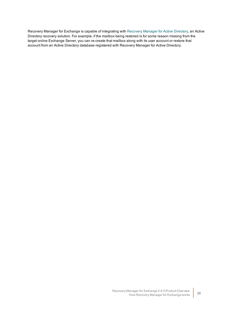Recovery Manager for Exchange is capable of integrating with [Recovery](https://www.quest.com/products/recovery-manager-for-active-directory/) Manager for Active Directory, an Active Directory recovery solution. For example, if the mailbox being restored is for some reason missing from the target online Exchange Server, you can re-create that mailbox along with its user account or restore that account from an Active Directory database registered with Recovery Manager for Active Directory.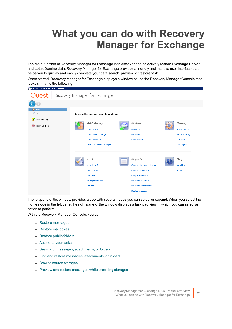# <span id="page-20-0"></span>**What you can do with Recovery Manager for Exchange**

The main function of Recovery Manager for Exchange is to discover and selectively restore Exchange Server and Lotus Domino data. Recovery Manager for Exchange provides a friendly and intuitive user interface that helps you to quickly and easily complete your data search, preview, or restore task.

When started, Recovery Manager for Exchange displays a window called the Recovery Manager Console that looks similar to the following:

|                                                                               |  | <b>Quest</b>   Recovery Manager for Exchange                                                                                                    |                                                                                                                                                            |                                                                                         |
|-------------------------------------------------------------------------------|--|-------------------------------------------------------------------------------------------------------------------------------------------------|------------------------------------------------------------------------------------------------------------------------------------------------------------|-----------------------------------------------------------------------------------------|
|                                                                               |  |                                                                                                                                                 |                                                                                                                                                            |                                                                                         |
| <b>R</b> Home<br>₽<br>Find<br>4 Source Storages<br>4 <b>O</b> Target Storages |  | Choose the task you want to perform.<br>Add storages<br>From backups<br>From online Exchange<br>From offline files<br>From Dell Archive Manager | Restore<br>Messages<br>Mailboxes<br><b>Public folders</b>                                                                                                  | Manage<br><b>Automated tasks</b><br>Backup catalog<br>Licensing<br><b>Exchange DLLs</b> |
|                                                                               |  | Tools<br>Import .pst files<br>Delete messages<br>Compare<br>Management Shell<br>Settings                                                        | Reports<br>Completed automated tasks<br>Completed searches<br>Completed restores<br>Previewed messages<br><b>Previewed attachments</b><br>Deleted messages | Help<br><b>View Help</b><br>About                                                       |

The left pane of the window provides a tree with several nodes you can select or expand. When you select the Home node in the left pane, the right pane of the window displays a task pad view in which you can select an action to perform.

With the Recovery Manager Console, you can:

• Restore [messages](#page-21-0)

**R.** Recovery Manager for Exchange

- Restore [mailboxes](#page-21-1)
- [Restore](#page-21-2) public folders
- [Automate](#page-21-3) your tasks
- Search for messages, [attachments,](#page-22-0) or folders
- Find and restore messages, [attachments,](#page-23-0) or folders
- **.** Browse source [storages](#page-24-0)
- Preview and restore [messages](#page-24-1) while browsing storages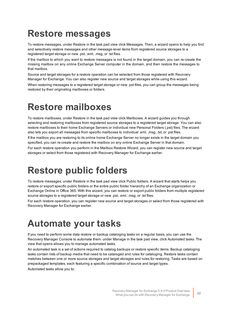## <span id="page-21-0"></span>**Restore messages**

To restore messages, under Restore in the task pad view click Messages. Then, a wizard opens to help you find and selectively restore messages and other message-level items from registered source storages to a registered target storage or new .pst, .eml, .msg, or .txt files.

If the mailbox to which you want to restore messages is not found in the target domain, you can re-create the missing mailbox on any online Exchange Server computer in the domain, and then restore the messages to that mailbox.

Source and target storages for a restore operation can be selected from those registered with Recovery Manager for Exchange. You can also register new source and target storages while using this wizard.

<span id="page-21-1"></span>When restoring messages to a registered target storage or new .pst files, you can group the messages being restored by their originating mailboxes or folders.

## **Restore mailboxes**

To restore mailboxes, under Restore in the task pad view click Mailboxes. A wizard guides you through selecting and restoring mailboxes from registered source storages to a registered target storage. You can also restore mailboxes to their home Exchange Servers or individual new Personal Folders (.pst) files. The wizard also lets you export all messages from specific mailboxes to individual .eml, .msg, .txt, or .pst files.

If the mailbox you are restoring to its online home Exchange Server no longer exists in the target domain you specified, you can re-create and restore the mailbox on any online Exchange Server in that domain.

<span id="page-21-2"></span>For each restore operation you perform in the Mailbox Restore Wizard, you can register new source and target storages or select from those registered with Recovery Manager for Exchange earlier.

## **Restore public folders**

To restore messages, under Restore in the task pad view click Public folders. A wizard that starts helps you restore or export specific public folders or the entire public folder hierarchy of an Exchange organization or Exchange Online in Office 365. With this wizard, you can restore or export public folders from multiple registered source storages to a registered target storage or new .pst, .eml, .msg, or .txt files.

<span id="page-21-3"></span>For each restore operation, you can register new source and target storages or select from those registered with Recovery Manager for Exchange earlier.

## **Automate your tasks**

If you need to perform some data restore or backup cataloging tasks on a regular basis, you can use the Recovery Manager Console to automate them: under Manage in the task pad view, click Automated tasks. The view that opens allows you to manage automated tasks.

An automated task is a set of actions required to catalog backups or restore specific items. Backup cataloging tasks contain lists of backup media that need to be cataloged and rules for cataloging. Restore tasks contain matches between one or more source storages and target storages and rules for restoring. Tasks are based on prepackaged templates, each featuring a specific combination of source and target types. Automated tasks allow you to: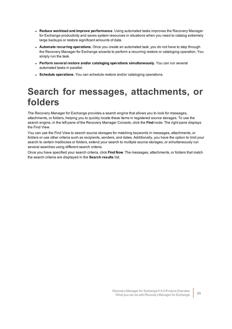- <sup>l</sup> **Reduce workload and improve performance**. Using automated tasks improves the Recovery Manager for Exchange productivity and saves system resources in situations when you need to catalog extremely large backups or restore significant amounts of data.
- <sup>l</sup> **Automate recurring operations**. Once you create an automated task, you do not have to step through the Recovery Manager for Exchange wizards to perform a recurring restore or cataloging operation. You simply run the task.
- <sup>l</sup> **Perform several restore and/or cataloging operations simultaneously**. You can run several automated tasks in parallel.
- <span id="page-22-0"></span>**.** Schedule operations. You can schedule restore and/or cataloging operations.

## **Search for messages, attachments, or folders**

The Recovery Manager for Exchange provides a search engine that allows you to look for messages, attachments, or folders, helping you to quickly locate these items in registered source storages. To use the search engine, in the left pane of the Recovery Manager Console, click the **Find** node: The right pane displays the Find View.

You can use the Find View to search source storages for matching keywords in messages, attachments, or folders or use other criteria such as recipients, senders, and dates. Additionally, you have the option to limit your search to certain mailboxes or folders, extend your search to multiple source storages, or simultaneously run several searches using different search criteria.

Once you have specified your search criteria, click **Find Now**. The messages, attachments, or folders that match the search criteria are displayed in the **Search results** list: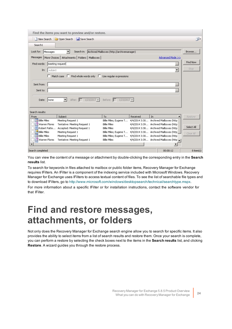|                          | Find the items you want to preview and/or restore.                            |                                                       |          |                                          |                |
|--------------------------|-------------------------------------------------------------------------------|-------------------------------------------------------|----------|------------------------------------------|----------------|
|                          | New Search <b>C</b> Open Search <b>F</b> Save Search                          |                                                       |          |                                          | 凹-             |
| Search1                  |                                                                               |                                                       |          |                                          |                |
| Look for:<br>Messages    |                                                                               | Search in: Archived Mailboxes (http://archivemanager) |          |                                          | Browse         |
|                          | Messages   More Choices   Attachments   Folders   Mailboxes                   |                                                       |          | Advanced Mode >>                         |                |
| Find words:              | meeting request                                                               |                                                       |          | $\cdots$                                 | Find Now       |
| In:<br>subject           |                                                                               |                                                       |          | $\overline{\phantom{a}}$                 | Stop           |
|                          | $\Box$ Match case $\Box$ Find whole words only $\Box$ Use regular expressions |                                                       |          |                                          |                |
|                          |                                                                               |                                                       |          |                                          |                |
| Sent from:               |                                                                               |                                                       |          |                                          |                |
| Sent to:                 |                                                                               |                                                       |          |                                          |                |
|                          |                                                                               |                                                       |          |                                          |                |
| Date:<br><b>Inone</b>    | After: $\boxed{ }$ 1/23/2017 $\blacktriangleright$<br>▾                       | Before: $\boxed{1/23/2017}$                           |          |                                          |                |
|                          |                                                                               |                                                       |          |                                          |                |
| Search results:          |                                                                               |                                                       |          |                                          |                |
| From                     | Subject                                                                       | To                                                    | Received | In                                       | Restore        |
| <b>Hall Billie Miles</b> | Meeting Request 1                                                             | Billie Miles; Eugene T                                |          | 4/4/2014 3:30 Archived Mailboxes (http   |                |
| Warren Flores            | Tentative: Meeting Request 1                                                  | <b>Billie Miles</b>                                   |          | 4/4/2014 3:39 Archived Mailboxes (http   |                |
| Robert Patte             | Accepted: Meeting Request 1                                                   | <b>Billie Miles</b>                                   |          | 4/4/2014 3:38 Archived Mailboxes (http   | Select All     |
| <b>Billie Miles</b>      | Meeting Request 1                                                             | Billie Miles; Eugene T                                |          | 4/4/2014 3:30 Archived Mailboxes (http   | Clear All      |
| <b>Billie Miles</b>      | Meeting Request 1                                                             | Billie Miles; Eugene T                                |          | 4/4/2014 3:30 Archived Mailboxes (http   |                |
| Warren Flores            | Tentative: Meeting Request 1                                                  | <b>Billie Miles</b>                                   |          | 4/4/2014 3:39 Archived Mailboxes (http = |                |
|                          |                                                                               |                                                       |          |                                          |                |
| Search completed         |                                                                               |                                                       |          | 00:00:12                                 | $8$ item $(s)$ |

You can view the content of a message or attachment by double-clicking the corresponding entry in the **Search results** list.

To search for keywords in files attached to mailbox or public folder items, Recovery Manager for Exchange requires IFilters. An IFilter is a component of the indexing service included with Microsoft Windows. Recovery Manager for Exchange uses IFilters to access textual content of files. To see the list of searchable file types and to download IFilters, go to <http://www.microsoft.com/windows/desktopsearch/technical/searchtype.mspx>.

<span id="page-23-0"></span>For more information about a specific IFilter or for installation instructions, contact the software vendor for that IFilter.

## **Find and restore messages, attachments, or folders**

Not only does the Recovery Manager for Exchange search engine allow you to search for specific items. It also provides the ability to select items from a list of search results and restore them. Once your search is complete, you can perform a restore by selecting the check boxes next to the items in the **Search results** list, and clicking **Restore**. A wizard guides you through the restore process.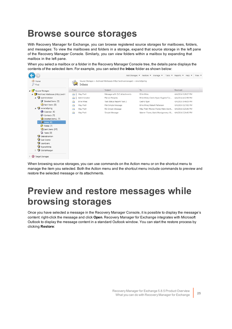## <span id="page-24-0"></span>**Browse source storages**

With Recovery Manager for Exchange, you can browse registered source storages for mailboxes, folders, and messages: To view the mailboxes and folders in a storage, expand that source storage in the left pane of the Recovery Manager Console. Similarly, you can view folders within a mailbox by expanding that mailbox in the left pane.

When you select a mailbox or a folder in the Recovery Manager Console tree, the details pane displays the contents of the selected item. For example, you can select the **Inbox** folder as shown below:

|                                   |                                         |                                                                             | Add Storages • Restore • Manage •     | Tools $\bullet$ Reports $\bullet$<br>$HeID =$<br>View $\sqrt{*}$ |
|-----------------------------------|-----------------------------------------|-----------------------------------------------------------------------------|---------------------------------------|------------------------------------------------------------------|
| <b>Ref</b> Home<br>$P$ Find       | Inbox                                   | Source Storages > Archived Mailboxes (http://archivemanager) > AmeliaSpring |                                       |                                                                  |
| 4F<br>Source Storages             | From                                    | Subject                                                                     | To                                    | Received                                                         |
| Archived Mailboxes (http://archi  | Ũ.<br>$\triangleright$<br>May Pratt     | Message with OLE Attachments                                                | <b>Billie Miles</b>                   | 4/4/2014 5:28:17 PM                                              |
| 4 Administrator                   | Administrator<br>$\sum_{i=1}^{n}$<br>м  | FW: All Peoples                                                             | Billie Miles; Cedric Ryan; Eugene Tur | 4/4/2014 4:12:56 PM                                              |
| 17<br>Deleted Items [3]           | <b>Billie Miles</b><br>$\triangleright$ | Task Status Report: Task 2                                                  | Cedric Ryan                           | 4/4/2014 3:46:05 PM                                              |
| Sent Items [5]                    | May Pratt<br>$\triangle$                | FW: Simple Message                                                          | Billie Miles; Robert Patterson        | 4/4/2014 2:27:51 PM                                              |
| 49<br>AmeliaSpring                | May Pratt<br>$\triangleright$           | RE: Simple Message                                                          | May Pratt; Warren Flores; Mark Mont   | 4/4/2014 2:25:41 PM                                              |
| Calendar [6]                      | May Pratt<br>$\rightarrow$              | Simple Message                                                              | Warren Flores; Mark Montgomery; M     | 4/4/2014 2:24:41 PM                                              |
| Contacts [5]                      |                                         |                                                                             |                                       |                                                                  |
| Deleted Items1 [3]                |                                         |                                                                             |                                       |                                                                  |
| $\bigotimes$ Inbox [6]            |                                         |                                                                             |                                       |                                                                  |
| Notes [2]                         |                                         |                                                                             |                                       |                                                                  |
| Sent Items [15]                   |                                         |                                                                             |                                       |                                                                  |
| Tasks [2]                         |                                         |                                                                             |                                       |                                                                  |
| DebraBranton                      |                                         |                                                                             |                                       |                                                                  |
| Van Ivanov                        |                                         |                                                                             |                                       |                                                                  |
| ِ<br>JeanEvans                    |                                         |                                                                             |                                       |                                                                  |
| RyanaWhite                        |                                         |                                                                             |                                       |                                                                  |
| SibillaMorgan<br>$\triangleright$ |                                         |                                                                             |                                       |                                                                  |
| <b>Target Storages</b>            |                                         |                                                                             |                                       |                                                                  |

When browsing source storages, you can use commands on the Action menu or on the shortcut menu to manage the item you selected. Both the Action menu and the shortcut menu include commands to preview and restore the selected message or its attachments.

## <span id="page-24-1"></span>**Preview and restore messages while browsing storages**

Once you have selected a message in the Recovery Manager Console, it is possible to display the message's content: right-click the message and click **Open**. Recovery Manager for Exchange integrates with Microsoft Outlook to display the message content in a standard Outlook window. You can start the restore process by clicking **Restore**: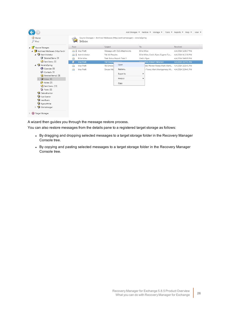|                                  |                                  |                                                                             | Add Storages = Restore = Manage =              | Tools $\bullet$ Reports $\bullet$ Help $\bullet$<br>View $\sqrt{*}$ |
|----------------------------------|----------------------------------|-----------------------------------------------------------------------------|------------------------------------------------|---------------------------------------------------------------------|
| <b>T</b> Home<br>$P$ Find        | Inbox                            | Source Storages > Archived Mailboxes (http://archivemanager) > AmeliaSpring |                                                |                                                                     |
| 4 Source Storages                | From                             | Subject                                                                     | To                                             | Received                                                            |
| Archived Mailboxes (http://archi | J May Pratt                      | Message with OLE Attachments                                                | <b>Billie Miles</b>                            | 4/4/2014 5:28:17 PM                                                 |
| Administrator<br>$\overline{A}$  | U Administrator<br>$\rightarrow$ | FW: All Peoples                                                             | Billie Miles; Cedric Ryan; Eugene Tur          | 4/4/2014 4:12:56 PM                                                 |
| Deleted Items [3]                | <b>Billie Miles</b><br>茜         | Task Status Report: Task 2                                                  | Cedric Ryan                                    | 4/4/2014 3:46:05 PM                                                 |
| Sent Items [5]                   | <b>May Pratt</b><br>e            | FW: Simple Masses                                                           | name Miles: Robert Patterson                   | 4/4/2014 2:27:51 PM                                                 |
| 4 AmeliaSpring                   | May Pratt<br><b>P</b>            | Open<br>RE: Simple                                                          | att; Warren Flores; Mark Mont                  | 4/4/2014 2:25:41 PM                                                 |
| Calendar [6]                     | May Pratt<br>E                   | Restore<br>Simple Me                                                        | Flores; Mark Montgomery; M 4/4/2014 2:24:41 PM |                                                                     |
| Contacts [5]                     |                                  | Export to                                                                   |                                                |                                                                     |
| Deleted Items1 [3]               |                                  |                                                                             |                                                |                                                                     |
| $\circ$ Inbox [6]                |                                  | Find All                                                                    |                                                |                                                                     |
| Notes [2]                        |                                  | Copy                                                                        |                                                |                                                                     |
| Sent Items [15]                  |                                  |                                                                             |                                                |                                                                     |
| Tasks [2]                        |                                  |                                                                             |                                                |                                                                     |
| DebraBranton                     |                                  |                                                                             |                                                |                                                                     |
| Van Ivanov                       |                                  |                                                                             |                                                |                                                                     |
| JeanEvans                        |                                  |                                                                             |                                                |                                                                     |
| RyanaWhite                       |                                  |                                                                             |                                                |                                                                     |
| SibillaMorgan                    |                                  |                                                                             |                                                |                                                                     |
| <b>Target Storages</b>           |                                  |                                                                             |                                                |                                                                     |

A wizard then guides you through the message restore process.

You can also restore messages from the details pane to a registered target storage as follows:

- By dragging and dropping selected messages to a target storage folder in the Recovery Manager Console tree.
- By copying and pasting selected messages to a target storage folder in the Recovery Manager Console tree.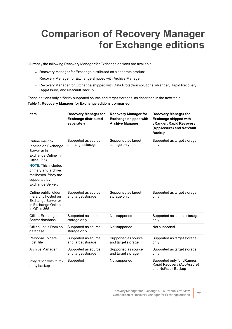# <span id="page-26-0"></span>**Comparison of Recovery Manager for Exchange editions**

Currently the following Recovery Manager for Exchange editions are available:

- Recovery Manager for Exchange distributed as a separate product
- Recovery Manager for Exchange shipped with Archive Manager
- Recovery Manager for Exchange shipped with Data Protection solutions: vRanger, Rapid Recovery (AppAssure) and NetVault Backup

These editions only differ by supported source and target storages, as described in the next table.

#### **Table 1: Recovery Manager for Exchange editions comparison**

| <b>Item</b>                                                                                                                                                                                                  | <b>Recovery Manager for</b><br><b>Exchange distributed</b><br>separately | <b>Recovery Manager for</b><br><b>Exchange shipped with</b><br><b>Archive Manager</b> | <b>Recovery Manager for</b><br><b>Exchange shipped with</b><br>vRanger, Rapid Recovery<br>(AppAssure) and NetVault<br><b>Backup</b> |
|--------------------------------------------------------------------------------------------------------------------------------------------------------------------------------------------------------------|--------------------------------------------------------------------------|---------------------------------------------------------------------------------------|-------------------------------------------------------------------------------------------------------------------------------------|
| Online mailbox<br>(hosted on Exchange<br>Server or in<br>Exchange Online in<br>Office 365)<br><b>NOTE: This includes</b><br>primary and archive<br>mailboxes if they are<br>supported by<br>Exchange Server. | Supported as source<br>and target storage                                | Supported as target<br>storage only                                                   | Supported as target storage<br>only                                                                                                 |
| Online public folder<br>hierarchy hosted on<br>Exchange Server or<br>in Exchange Online<br>in Office 365                                                                                                     | Supported as source<br>and target storage                                | Supported as target<br>storage only                                                   | Supported as target storage<br>only                                                                                                 |
| Offline Exchange<br>Server database                                                                                                                                                                          | Supported as source<br>storage only                                      | Not supported                                                                         | Supported as source storage<br>only                                                                                                 |
| Offline Lotus Domino<br>database                                                                                                                                                                             | Supported as source<br>storage only                                      | Not supported                                                                         | Not supported                                                                                                                       |
| <b>Personal Folders</b><br>(.pst) file                                                                                                                                                                       | Supported as source<br>and target storage                                | Supported as source<br>and target storage                                             | Supported as target storage<br>only                                                                                                 |
| Archive Manager                                                                                                                                                                                              | Supported as source<br>and target storage                                | Supported as source<br>and target storage                                             | Supported as target storage<br>only                                                                                                 |
| Integration with third-<br>party backup                                                                                                                                                                      | Supported                                                                | Not supported                                                                         | Supported only for vRanger,<br>Rapid Recovery (AppAssure)<br>and NetVault Backup                                                    |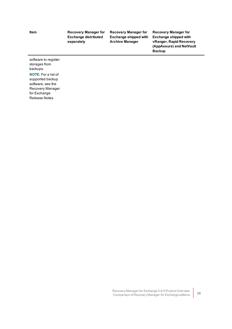#### **Item Recovery Manager for Exchange distributed separately**

**Recovery Manager for Exchange shipped with Archive Manager**

**Recovery Manager for Exchange shipped with vRanger, Rapid Recovery (AppAssure) and NetVault Backup**

software to register storages from backups. **NOTE:** For a list of supported backup

software, see the Recovery Manager for Exchange Release Notes.